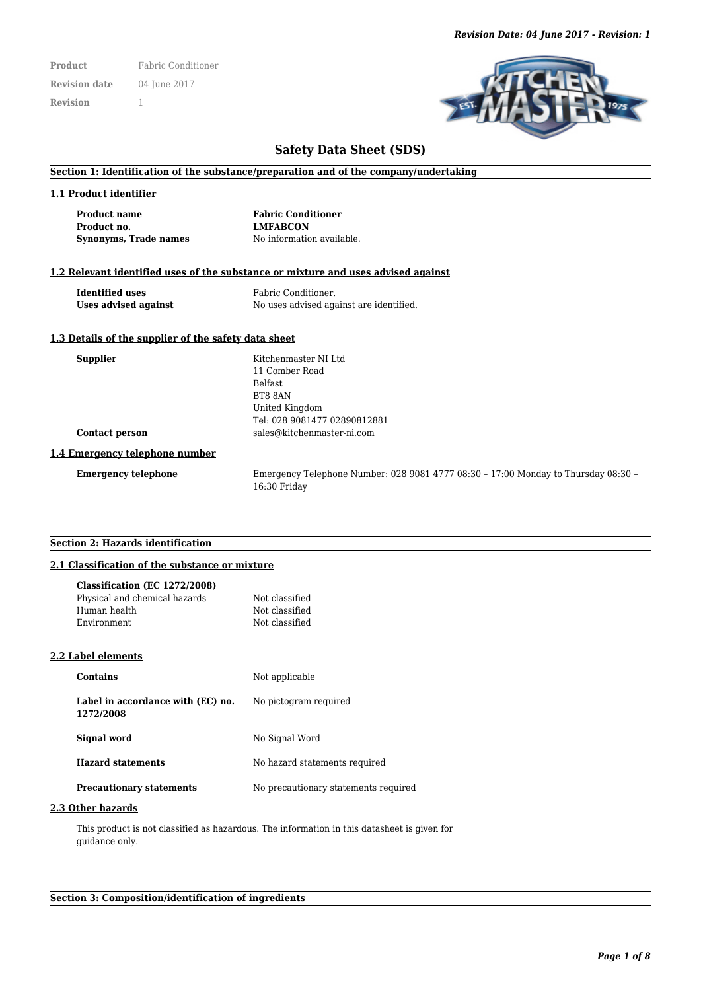**Product** Fabric Conditioner **Revision date** 04 June 2017 **Revision** 1



# **Safety Data Sheet (SDS)**

#### **Section 1: Identification of the substance/preparation and of the company/undertaking**

#### **1.1 Product identifier**

**Product name Fabric Conditioner Product no. LMFABCON Synonyms, Trade names** No information available.

## **1.2 Relevant identified uses of the substance or mixture and uses advised against**

| <b>Identified uses</b> | Fabric Conditioner.                     |
|------------------------|-----------------------------------------|
| Uses advised against   | No uses advised against are identified. |

## **1.3 Details of the supplier of the safety data sheet**

| <b>Supplier</b>                | Kitchenmaster NI Ltd                                                               |
|--------------------------------|------------------------------------------------------------------------------------|
|                                | 11 Comber Road                                                                     |
|                                | <b>Belfast</b>                                                                     |
|                                | BT8 8AN                                                                            |
|                                | United Kingdom                                                                     |
|                                | Tel: 028 9081477 02890812881                                                       |
| Contact person                 | sales@kitchenmaster-ni.com                                                         |
| 1.4 Emergency telephone number |                                                                                    |
| <b>Emergency telephone</b>     | Emergency Telephone Number: 028 9081 4777 08:30 - 17:00 Monday to Thursday 08:30 - |
|                                | 16:30 Friday                                                                       |

## **Section 2: Hazards identification**

#### **2.1 Classification of the substance or mixture**

| Classification (EC 1272/2008)<br>Physical and chemical hazards<br>Human health<br>Environment | Not classified<br>Not classified<br>Not classified |
|-----------------------------------------------------------------------------------------------|----------------------------------------------------|
| 2.2 Label elements                                                                            |                                                    |
| <b>Contains</b>                                                                               | Not applicable                                     |
| Label in accordance with (EC) no.<br>1272/2008                                                | No pictogram required                              |
| Signal word                                                                                   | No Signal Word                                     |
| <b>Hazard statements</b>                                                                      | No hazard statements required                      |
| <b>Precautionary statements</b>                                                               | No precautionary statements required               |

#### **2.3 Other hazards**

This product is not classified as hazardous. The information in this datasheet is given for guidance only.

#### **Section 3: Composition/identification of ingredients**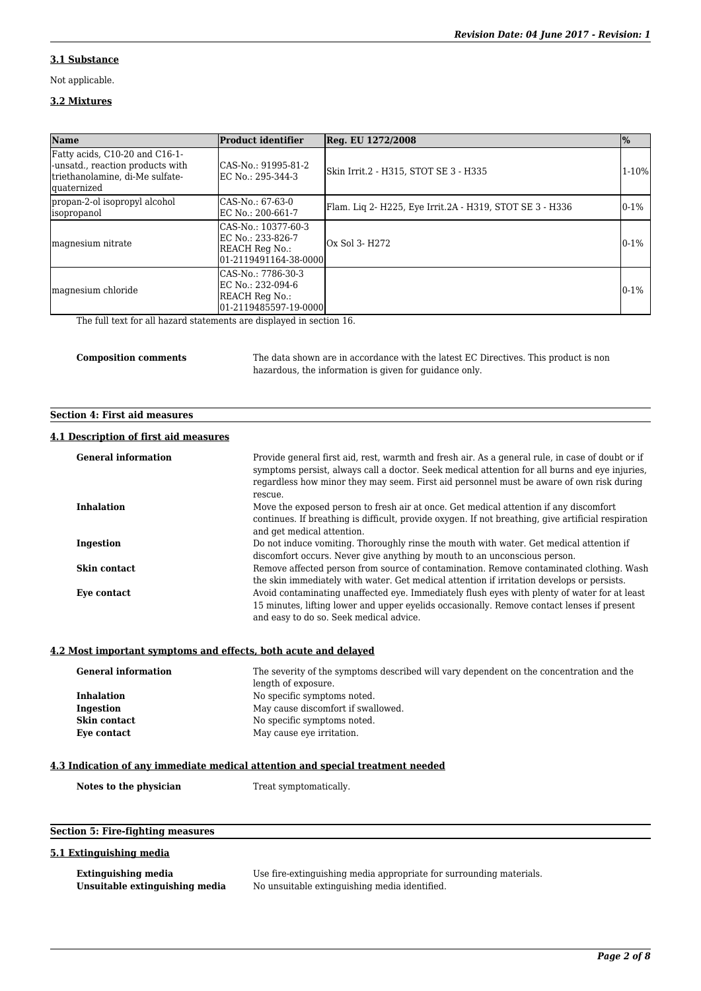# **3.1 Substance**

Not applicable.

#### **3.2 Mixtures**

| Name<br><b>Product identifier</b>                                                                                            |                                                                                     | $\frac{9}{6}$<br>Reg. EU 1272/2008                       |           |  |
|------------------------------------------------------------------------------------------------------------------------------|-------------------------------------------------------------------------------------|----------------------------------------------------------|-----------|--|
| Fatty acids, C10-20 and C16-1-<br>-unsatd., reaction products with<br>triethanolamine, di-Me sulfate-<br><i>d</i> uaternized | CAS-No.: 91995-81-2<br>EC No.: 295-344-3                                            | Skin Irrit.2 - H315, STOT SE 3 - H335                    | $1 - 10%$ |  |
| propan-2-ol isopropyl alcohol<br><i>s</i> opropanol                                                                          | CAS-No.: 67-63-0<br>IEC No.: 200-661-7                                              | Flam. Lig 2- H225, Eye Irrit.2A - H319, STOT SE 3 - H336 | $0-1%$    |  |
| magnesium nitrate                                                                                                            | CAS-No.: 10377-60-3<br>EC No.: 233-826-7<br>REACH Reg No.:<br>01-2119491164-38-0000 | Ox Sol 3- H272                                           | $0 - 1%$  |  |
| magnesium chloride                                                                                                           | CAS-No.: 7786-30-3<br>EC No.: 232-094-6<br>REACH Reg No.:<br>01-2119485597-19-0000  |                                                          | $0 - 1%$  |  |

The full text for all hazard statements are displayed in section 16.

**Composition comments** The data shown are in accordance with the latest EC Directives. This product is non hazardous, the information is given for guidance only.

## **Section 4: First aid measures**

# **4.1 Description of first aid measures**

| <b>General information</b> | Provide general first aid, rest, warmth and fresh air. As a general rule, in case of doubt or if<br>symptoms persist, always call a doctor. Seek medical attention for all burns and eye injuries,<br>regardless how minor they may seem. First aid personnel must be aware of own risk during<br>rescue. |
|----------------------------|-----------------------------------------------------------------------------------------------------------------------------------------------------------------------------------------------------------------------------------------------------------------------------------------------------------|
| <b>Inhalation</b>          | Move the exposed person to fresh air at once. Get medical attention if any discomfort                                                                                                                                                                                                                     |
|                            | continues. If breathing is difficult, provide oxygen. If not breathing, give artificial respiration                                                                                                                                                                                                       |
|                            | and get medical attention.                                                                                                                                                                                                                                                                                |
| Ingestion                  | Do not induce vomiting. Thoroughly rinse the mouth with water. Get medical attention if                                                                                                                                                                                                                   |
|                            | discomfort occurs. Never give anything by mouth to an unconscious person.                                                                                                                                                                                                                                 |
| <b>Skin contact</b>        | Remove affected person from source of contamination. Remove contaminated clothing. Wash                                                                                                                                                                                                                   |
|                            | the skin immediately with water. Get medical attention if irritation develops or persists.                                                                                                                                                                                                                |
| Eye contact                | Avoid contaminating unaffected eye. Immediately flush eyes with plenty of water for at least                                                                                                                                                                                                              |
|                            | 15 minutes, lifting lower and upper eyelids occasionally. Remove contact lenses if present                                                                                                                                                                                                                |
|                            | and easy to do so. Seek medical advice.                                                                                                                                                                                                                                                                   |

#### **4.2 Most important symptoms and effects, both acute and delayed**

| <b>General information</b> | The severity of the symptoms described will vary dependent on the concentration and the |
|----------------------------|-----------------------------------------------------------------------------------------|
|                            | length of exposure.                                                                     |
| <b>Inhalation</b>          | No specific symptoms noted.                                                             |
| Ingestion                  | May cause discomfort if swallowed.                                                      |
| Skin contact               | No specific symptoms noted.                                                             |
| Eve contact                | May cause eye irritation.                                                               |

## **4.3 Indication of any immediate medical attention and special treatment needed**

Notes to the physician Treat symptomatically.

# **Section 5: Fire-fighting measures**

## **5.1 Extinguishing media**

| <b>Extinguishing media</b>     |
|--------------------------------|
| Unsuitable extinguishing media |

Use fire-extinguishing media appropriate for surrounding materials. **Unsuitable extinguishing media** No unsuitable extinguishing media identified.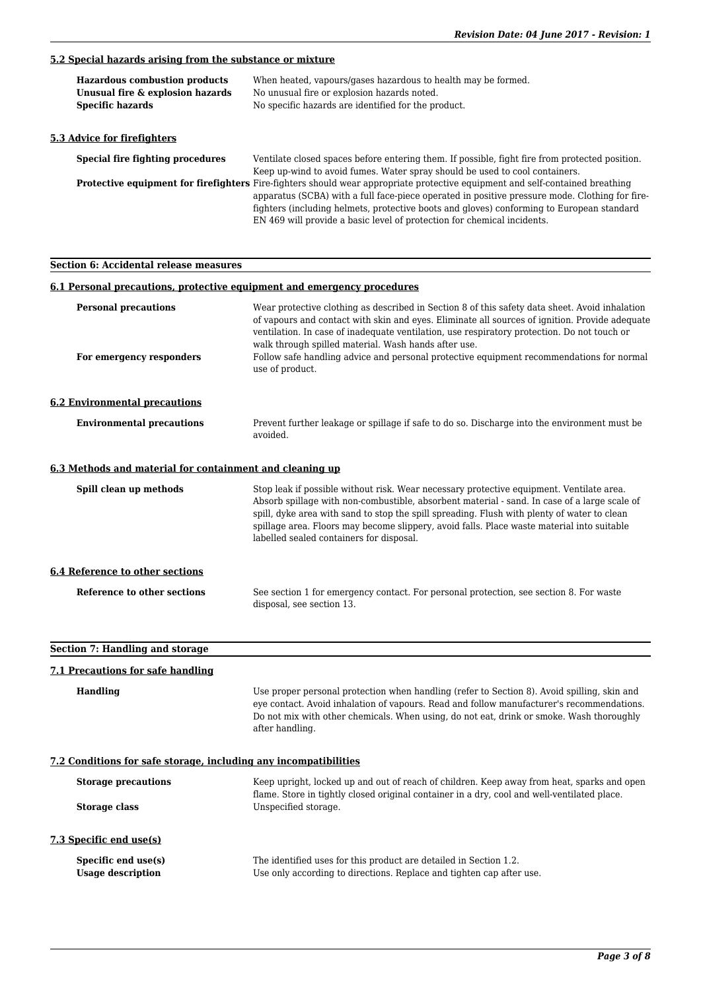## **5.2 Special hazards arising from the substance or mixture**

| <b>Hazardous combustion products</b><br>Unusual fire & explosion hazards<br><b>Specific hazards</b> | When heated, vapours/gases hazardous to health may be formed.<br>No unusual fire or explosion hazards noted.<br>No specific hazards are identified for the product.                                                                                                                                                                                                                                            |
|-----------------------------------------------------------------------------------------------------|----------------------------------------------------------------------------------------------------------------------------------------------------------------------------------------------------------------------------------------------------------------------------------------------------------------------------------------------------------------------------------------------------------------|
| 5.3 Advice for firefighters                                                                         |                                                                                                                                                                                                                                                                                                                                                                                                                |
| Special fire fighting procedures                                                                    | Ventilate closed spaces before entering them. If possible, fight fire from protected position.<br>Keep up-wind to avoid fumes. Water spray should be used to cool containers.                                                                                                                                                                                                                                  |
|                                                                                                     | <b>Protective equipment for firefighters</b> Fire-fighters should wear appropriate protective equipment and self-contained breathing<br>apparatus (SCBA) with a full face-piece operated in positive pressure mode. Clothing for fire-<br>fighters (including helmets, protective boots and gloves) conforming to European standard<br>EN 469 will provide a basic level of protection for chemical incidents. |

**Section 6: Accidental release measures**

#### **6.1 Personal precautions, protective equipment and emergency procedures**

| <b>Personal precautions</b><br>For emergency responders  | Wear protective clothing as described in Section 8 of this safety data sheet. Avoid inhalation<br>of vapours and contact with skin and eyes. Eliminate all sources of ignition. Provide adequate<br>ventilation. In case of inadequate ventilation, use respiratory protection. Do not touch or<br>walk through spilled material. Wash hands after use.<br>Follow safe handling advice and personal protective equipment recommendations for normal<br>use of product. |
|----------------------------------------------------------|------------------------------------------------------------------------------------------------------------------------------------------------------------------------------------------------------------------------------------------------------------------------------------------------------------------------------------------------------------------------------------------------------------------------------------------------------------------------|
| <b>6.2 Environmental precautions</b>                     |                                                                                                                                                                                                                                                                                                                                                                                                                                                                        |
| <b>Environmental precautions</b>                         | Prevent further leakage or spillage if safe to do so. Discharge into the environment must be<br>avoided.                                                                                                                                                                                                                                                                                                                                                               |
| 6.3 Methods and material for containment and cleaning up |                                                                                                                                                                                                                                                                                                                                                                                                                                                                        |
| Spill clean up methods                                   | Stop leak if possible without risk. Wear necessary protective equipment. Ventilate area.<br>Absorb spillage with non-combustible, absorbent material - sand. In case of a large scale of<br>spill, dyke area with sand to stop the spill spreading. Flush with plenty of water to clean<br>spillage area. Floors may become slippery, avoid falls. Place waste material into suitable<br>labelled sealed containers for disposal.                                      |
| <b>6.4 Reference to other sections</b>                   |                                                                                                                                                                                                                                                                                                                                                                                                                                                                        |
| Reference to other sections                              | See section 1 for emergency contact. For personal protection, see section 8. For waste<br>disposal, see section 13.                                                                                                                                                                                                                                                                                                                                                    |

# **Section 7: Handling and storage**

## **7.1 Precautions for safe handling**

**Handling** Use proper personal protection when handling (refer to Section 8). Avoid spilling, skin and eye contact. Avoid inhalation of vapours. Read and follow manufacturer's recommendations. Do not mix with other chemicals. When using, do not eat, drink or smoke. Wash thoroughly after handling.

## **7.2 Conditions for safe storage, including any incompatibilities**

| <b>Storage precautions</b>                      | Keep upright, locked up and out of reach of children. Keep away from heat, sparks and open                                                |
|-------------------------------------------------|-------------------------------------------------------------------------------------------------------------------------------------------|
| Storage class                                   | flame. Store in tightly closed original container in a dry, cool and well-ventilated place.<br>Unspecified storage.                       |
| 7.3 Specific end use(s)                         |                                                                                                                                           |
| Specific end use(s)<br><b>Usage description</b> | The identified uses for this product are detailed in Section 1.2.<br>Use only according to directions. Replace and tighten cap after use. |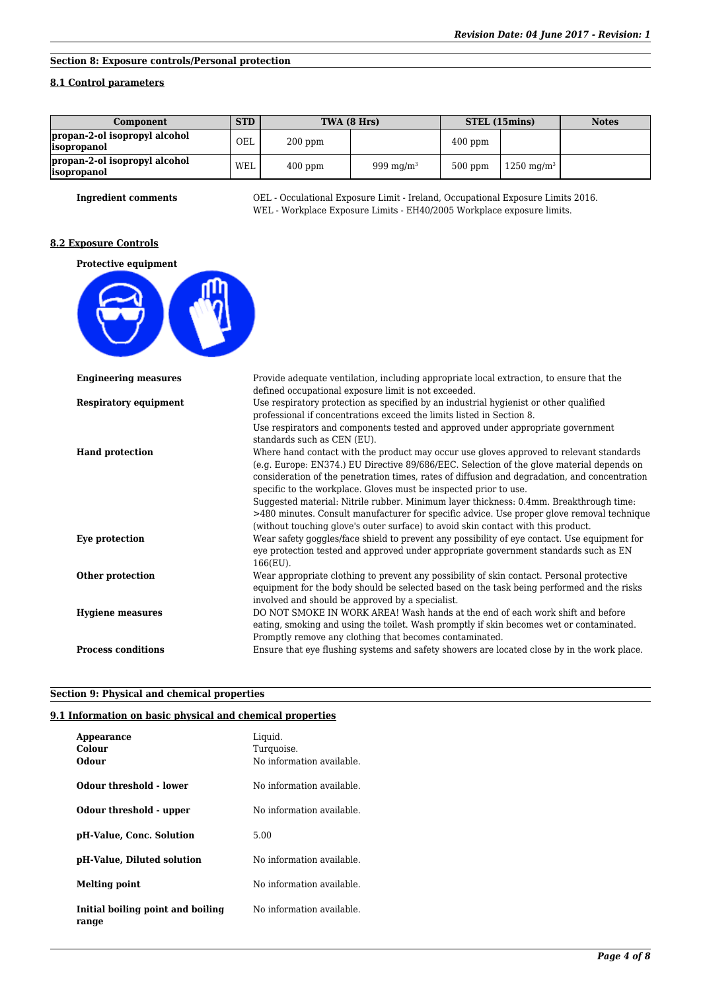# **Section 8: Exposure controls/Personal protection**

## **8.1 Control parameters**

| Component                                           | <b>STD</b> |           | TWA (8 Hrs)   |           | STEL (15mins)         | <b>Notes</b> |
|-----------------------------------------------------|------------|-----------|---------------|-----------|-----------------------|--------------|
| propan-2-ol isopropyl alcohol<br><i>s</i> opropanol | OEL        | $200$ ppm |               | $400$ ppm |                       |              |
| propan-2-ol isopropyl alcohol<br><i>sopropanol</i>  | <b>WEL</b> | $400$ ppm | 999 mg/m $^3$ | $500$ ppm | $1250 \text{ mg/m}^3$ |              |

**Ingredient comments** OEL - Occulational Exposure Limit - Ireland, Occupational Exposure Limits 2016. WEL - Workplace Exposure Limits - EH40/2005 Workplace exposure limits.

## **8.2 Exposure Controls**

| Protective equipment |  |
|----------------------|--|
|                      |  |
|                      |  |

| <b>Engineering measures</b> | Provide adequate ventilation, including appropriate local extraction, to ensure that the      |
|-----------------------------|-----------------------------------------------------------------------------------------------|
|                             | defined occupational exposure limit is not exceeded.                                          |
| Respiratory equipment       | Use respiratory protection as specified by an industrial hygienist or other qualified         |
|                             | professional if concentrations exceed the limits listed in Section 8.                         |
|                             | Use respirators and components tested and approved under appropriate government               |
|                             | standards such as CEN (EU).                                                                   |
| <b>Hand protection</b>      | Where hand contact with the product may occur use gloves approved to relevant standards       |
|                             | (e.g. Europe: EN374.) EU Directive 89/686/EEC. Selection of the glove material depends on     |
|                             | consideration of the penetration times, rates of diffusion and degradation, and concentration |
|                             | specific to the workplace. Gloves must be inspected prior to use.                             |
|                             | Suggested material: Nitrile rubber. Minimum layer thickness: 0.4mm. Breakthrough time:        |
|                             | >480 minutes. Consult manufacturer for specific advice. Use proper glove removal technique    |
|                             | (without touching glove's outer surface) to avoid skin contact with this product.             |
| Eye protection              | Wear safety goggles/face shield to prevent any possibility of eye contact. Use equipment for  |
|                             | eye protection tested and approved under appropriate government standards such as EN          |
|                             | 166(EU).                                                                                      |
| Other protection            | Wear appropriate clothing to prevent any possibility of skin contact. Personal protective     |
|                             | equipment for the body should be selected based on the task being performed and the risks     |
|                             | involved and should be approved by a specialist.                                              |
| <b>Hygiene measures</b>     | DO NOT SMOKE IN WORK AREA! Wash hands at the end of each work shift and before                |
|                             | eating, smoking and using the toilet. Wash promptly if skin becomes wet or contaminated.      |
|                             | Promptly remove any clothing that becomes contaminated.                                       |
| <b>Process conditions</b>   | Ensure that eye flushing systems and safety showers are located close by in the work place.   |
|                             |                                                                                               |

## **Section 9: Physical and chemical properties**

## **9.1 Information on basic physical and chemical properties**

| Appearance<br>Colour<br>Odour              | Liquid.<br>Turquoise.<br>No information available. |
|--------------------------------------------|----------------------------------------------------|
| Odour threshold - lower                    | No information available.                          |
| Odour threshold - upper                    | No information available.                          |
| pH-Value, Conc. Solution                   | 5.00                                               |
| pH-Value, Diluted solution                 | No information available.                          |
| Melting point                              | No information available.                          |
| Initial boiling point and boiling<br>range | No information available.                          |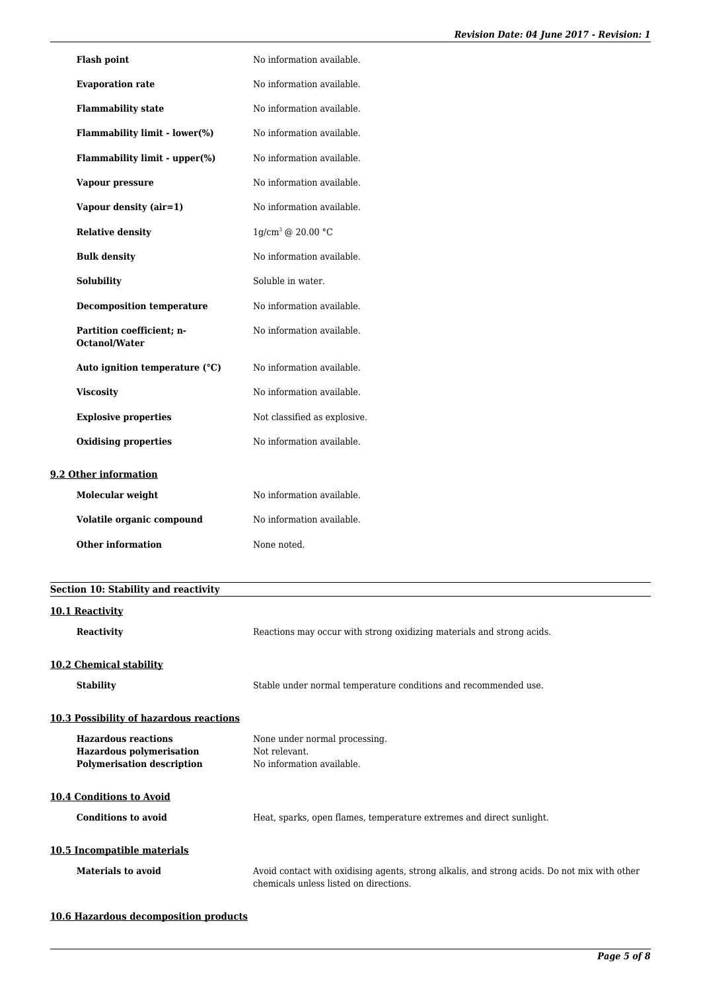| <b>Flash point</b>                         | No information available.    |
|--------------------------------------------|------------------------------|
| <b>Evaporation rate</b>                    | No information available.    |
| <b>Flammability state</b>                  | No information available.    |
| Flammability limit - lower(%)              | No information available.    |
| Flammability limit - upper(%)              | No information available.    |
| Vapour pressure                            | No information available.    |
| Vapour density (air=1)                     | No information available.    |
| <b>Relative density</b>                    | $1g/cm^3$ @ 20.00 °C         |
| <b>Bulk density</b>                        | No information available.    |
| <b>Solubility</b>                          | Soluble in water.            |
| <b>Decomposition temperature</b>           | No information available.    |
| Partition coefficient; n-<br>Octanol/Water | No information available.    |
| Auto ignition temperature (°C)             | No information available.    |
| <b>Viscosity</b>                           | No information available.    |
| <b>Explosive properties</b>                | Not classified as explosive. |
| <b>Oxidising properties</b>                | No information available.    |
| 9.2 Other information                      |                              |
| Molecular weight                           | No information available.    |
| Volatile organic compound                  | No information available.    |
| <b>Other information</b>                   | None noted.                  |
|                                            |                              |

| Section 10: Stability and reactivity                          |                                                                                                                                        |  |
|---------------------------------------------------------------|----------------------------------------------------------------------------------------------------------------------------------------|--|
| 10.1 Reactivity                                               |                                                                                                                                        |  |
| <b>Reactivity</b>                                             | Reactions may occur with strong oxidizing materials and strong acids.                                                                  |  |
| 10.2 Chemical stability                                       |                                                                                                                                        |  |
| <b>Stability</b>                                              | Stable under normal temperature conditions and recommended use.                                                                        |  |
| 10.3 Possibility of hazardous reactions                       |                                                                                                                                        |  |
| <b>Hazardous reactions</b><br><b>Hazardous polymerisation</b> | None under normal processing.<br>Not relevant.                                                                                         |  |
| <b>Polymerisation description</b>                             | No information available.                                                                                                              |  |
| <b>10.4 Conditions to Avoid</b>                               |                                                                                                                                        |  |
| <b>Conditions to avoid</b>                                    | Heat, sparks, open flames, temperature extremes and direct sunlight.                                                                   |  |
| 10.5 Incompatible materials                                   |                                                                                                                                        |  |
| Materials to avoid                                            | Avoid contact with oxidising agents, strong alkalis, and strong acids. Do not mix with other<br>chemicals unless listed on directions. |  |

# **10.6 Hazardous decomposition products**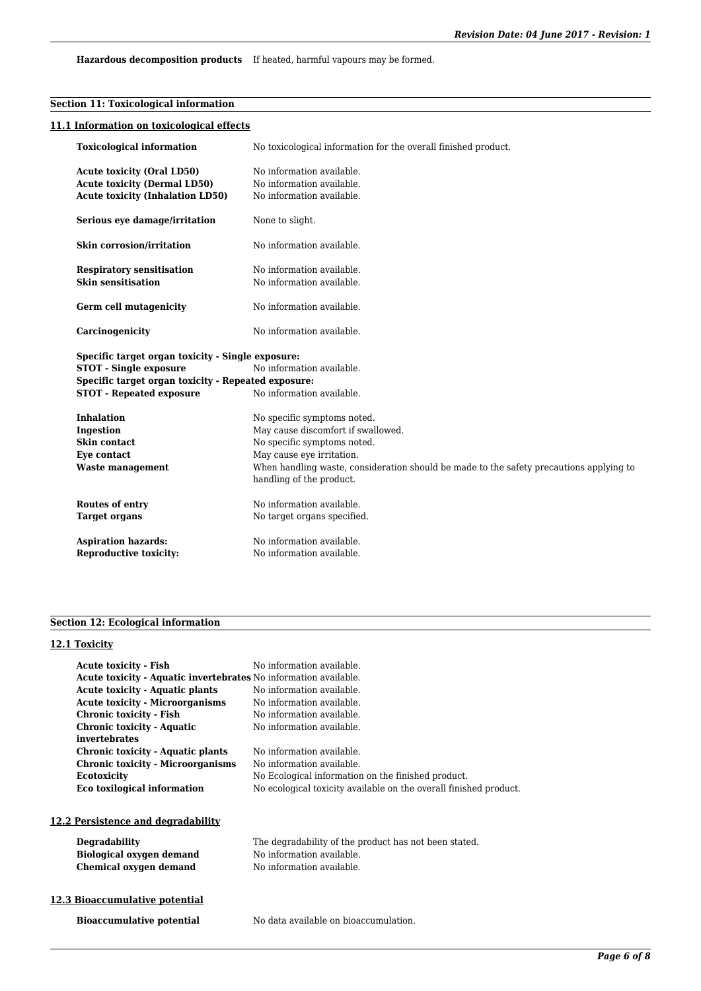**Hazardous decomposition products** If heated, harmful vapours may be formed.

## **Section 11: Toxicological information**

## **11.1 Information on toxicological effects**

| <b>Toxicological information</b>                                                                                    | No toxicological information for the overall finished product.                                                                                                                                                                                       |  |
|---------------------------------------------------------------------------------------------------------------------|------------------------------------------------------------------------------------------------------------------------------------------------------------------------------------------------------------------------------------------------------|--|
| <b>Acute toxicity (Oral LD50)</b><br><b>Acute toxicity (Dermal LD50)</b><br><b>Acute toxicity (Inhalation LD50)</b> | No information available.<br>No information available.<br>No information available.                                                                                                                                                                  |  |
| Serious eye damage/irritation                                                                                       | None to slight.                                                                                                                                                                                                                                      |  |
| <b>Skin corrosion/irritation</b>                                                                                    | No information available.                                                                                                                                                                                                                            |  |
| <b>Respiratory sensitisation</b><br><b>Skin sensitisation</b>                                                       | No information available.<br>No information available.                                                                                                                                                                                               |  |
| Germ cell mutagenicity                                                                                              | No information available.                                                                                                                                                                                                                            |  |
| Carcinogenicity                                                                                                     | No information available.                                                                                                                                                                                                                            |  |
| Specific target organ toxicity - Single exposure:                                                                   |                                                                                                                                                                                                                                                      |  |
| <b>STOT - Single exposure</b><br>No information available.                                                          |                                                                                                                                                                                                                                                      |  |
| Specific target organ toxicity - Repeated exposure:                                                                 |                                                                                                                                                                                                                                                      |  |
| <b>STOT - Repeated exposure</b>                                                                                     | No information available.                                                                                                                                                                                                                            |  |
| <b>Inhalation</b><br>Ingestion<br>Skin contact<br>Eye contact<br><b>Waste management</b>                            | No specific symptoms noted.<br>May cause discomfort if swallowed.<br>No specific symptoms noted.<br>May cause eye irritation.<br>When handling waste, consideration should be made to the safety precautions applying to<br>handling of the product. |  |
| Routes of entry<br><b>Target organs</b>                                                                             | No information available.<br>No target organs specified.                                                                                                                                                                                             |  |
| <b>Aspiration hazards:</b><br><b>Reproductive toxicity:</b>                                                         | No information available.<br>No information available.                                                                                                                                                                                               |  |

## **Section 12: Ecological information**

## **12.1 Toxicity**

| <b>Acute toxicity - Fish</b>                                     | No information available.                                         |
|------------------------------------------------------------------|-------------------------------------------------------------------|
| Acute toxicity - Aquatic invertebrates No information available. |                                                                   |
| <b>Acute toxicity - Aquatic plants</b>                           | No information available.                                         |
| <b>Acute toxicity - Microorganisms</b>                           | No information available.                                         |
| Chronic toxicity - Fish                                          | No information available.                                         |
| Chronic toxicity - Aquatic                                       | No information available.                                         |
| invertebrates                                                    |                                                                   |
| Chronic toxicity - Aquatic plants                                | No information available.                                         |
| <b>Chronic toxicity - Microorganisms</b>                         | No information available.                                         |
| <b>Ecotoxicity</b>                                               | No Ecological information on the finished product.                |
| Eco toxilogical information                                      | No ecological toxicity available on the overall finished product. |
|                                                                  |                                                                   |

## **12.2 Persistence and degradability**

| Degradability                   |
|---------------------------------|
| <b>Biological oxygen demand</b> |
| Chemical oxygen demand          |

#### The degradability of the product has not been stated. No information available. No information available.

## **12.3 Bioaccumulative potential**

**Bioaccumulative potential** No data available on bioaccumulation.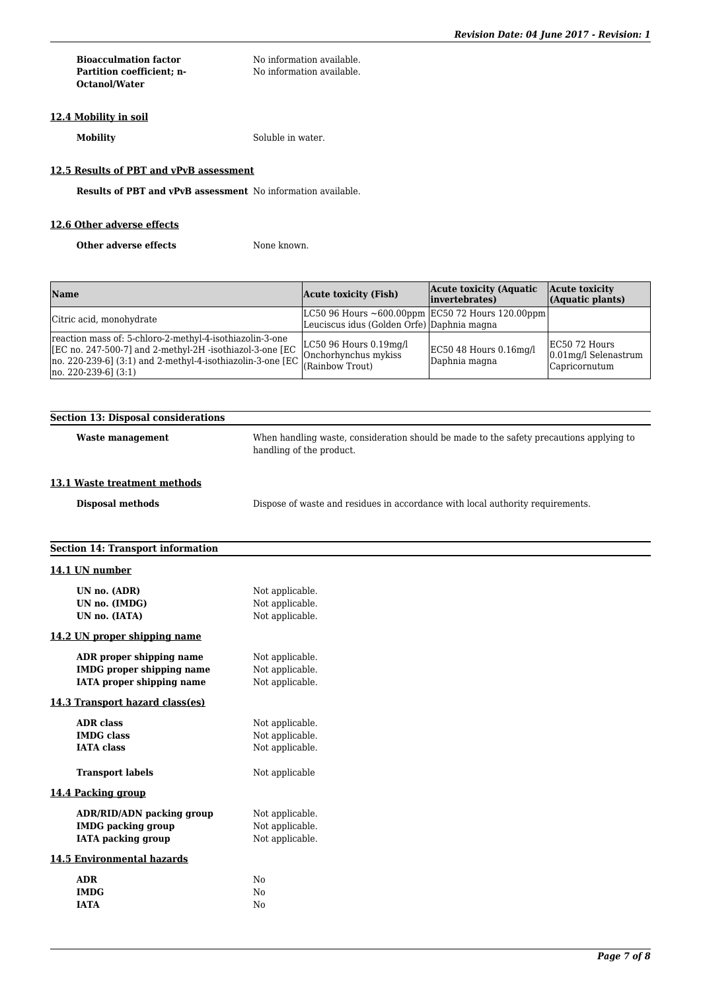| <b>Bioacculmation factor</b> |  |
|------------------------------|--|
| Partition coefficient: n-    |  |
| <b>Octanol/Water</b>         |  |

No information available. No information available.

# **12.4 Mobility in soil**

**Mobility** Soluble in water.

# **12.5 Results of PBT and vPvB assessment**

**Results of PBT and vPvB assessment** No information available.

## **12.6 Other adverse effects**

**Other adverse effects** None known.

| <b>Name</b>                                                                                                                                                                                                            | <b>Acute toxicity (Fish)</b>                                                                          | <b>Acute toxicity (Aquatic)</b><br>invertebrates) | Acute toxicity<br>(Aquatic plants)                        |
|------------------------------------------------------------------------------------------------------------------------------------------------------------------------------------------------------------------------|-------------------------------------------------------------------------------------------------------|---------------------------------------------------|-----------------------------------------------------------|
| Citric acid, monohydrate                                                                                                                                                                                               | LC50 96 Hours $\sim 600.00$ ppm EC50 72 Hours 120.00ppm<br>Leuciscus idus (Golden Orfe) Daphnia magna |                                                   |                                                           |
| reaction mass of: 5-chloro-2-methyl-4-isothiazolin-3-one<br>[EC no. 247-500-7] and 2-methyl-2H -isothiazol-3-one [EC]<br>$[no. 220-239-6]$ $(3:1)$ and 2-methyl-4-isothiazolin-3-one [EC]<br>$[no. 220-239-6]$ $(3:1)$ | $LC50$ 96 Hours $0.19$ mg/l<br>Onchorhynchus mykiss<br>(Rainbow Trout)                                | $EC50$ 48 Hours 0.16mg/l<br>Daphnia magna         | EC50 72 Hours<br>$0.01$ mg/l Selenastrum<br>Capricornutum |

| <b>Section 13: Disposal considerations</b>                                                 |                                                                                                                     |
|--------------------------------------------------------------------------------------------|---------------------------------------------------------------------------------------------------------------------|
| <b>Waste management</b>                                                                    | When handling waste, consideration should be made to the safety precautions applying to<br>handling of the product. |
| 13.1 Waste treatment methods                                                               |                                                                                                                     |
| <b>Disposal methods</b>                                                                    | Dispose of waste and residues in accordance with local authority requirements.                                      |
| <b>Section 14: Transport information</b>                                                   |                                                                                                                     |
| 14.1 UN number                                                                             |                                                                                                                     |
| UN no. (ADR)<br>UN no. (IMDG)<br>UN no. (IATA)                                             | Not applicable.<br>Not applicable.<br>Not applicable.                                                               |
| 14.2 UN proper shipping name                                                               |                                                                                                                     |
| ADR proper shipping name<br><b>IMDG</b> proper shipping name<br>IATA proper shipping name  | Not applicable.<br>Not applicable.<br>Not applicable.                                                               |
| 14.3 Transport hazard class(es)                                                            |                                                                                                                     |
| <b>ADR</b> class<br><b>IMDG</b> class<br><b>IATA</b> class                                 | Not applicable.<br>Not applicable.<br>Not applicable.                                                               |
| <b>Transport labels</b>                                                                    | Not applicable                                                                                                      |
| 14.4 Packing group                                                                         |                                                                                                                     |
| <b>ADR/RID/ADN</b> packing group<br><b>IMDG</b> packing group<br><b>IATA</b> packing group | Not applicable.<br>Not applicable.<br>Not applicable.                                                               |
| <b>14.5 Environmental hazards</b>                                                          |                                                                                                                     |
| <b>ADR</b><br><b>IMDG</b><br><b>IATA</b>                                                   | No<br>No<br>No                                                                                                      |